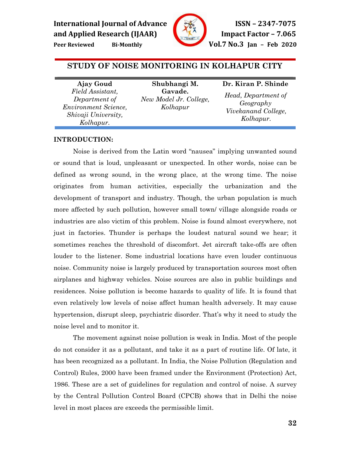

**Peer Reviewed Bi-Monthly Vol.7 No.3 Jan – Feb 2020**

# **STUDY OF NOISE MONITORING IN KOLHAPUR CITY**

í

**Ajay Goud**  *Field Assistant, Department of Environment Science, Shivaji University, Kolhapur.*

**Shubhangi M. Gavade.**  *New Model Jr. College, Kolhapur*

# **Dr. Kiran P. Shinde**

*Head, Department of Geography Vivekanand College, Kolhapur.* 

# **INTRODUCTION:**

Noise is derived from the Latin word "nausea" implying unwanted sound or sound that is loud, unpleasant or unexpected. In other words, noise can be defined as wrong sound, in the wrong place, at the wrong time. The noise originates from human activities, especially the urbanization and the development of transport and industry. Though, the urban population is much more affected by such pollution, however small town/ village alongside roads or industries are also victim of this problem. Noise is found almost everywhere, not just in factories. Thunder is perhaps the loudest natural sound we hear; it sometimes reaches the threshold of discomfort. Jet aircraft take-offs are often louder to the listener. Some industrial locations have even louder continuous noise. Community noise is largely produced by transportation sources most often airplanes and highway vehicles. Noise sources are also in public buildings and residences. Noise pollution is become hazards to quality of life. It is found that even relatively low levels of noise affect human health adversely. It may cause hypertension, disrupt sleep, psychiatric disorder. That's why it need to study the noise level and to monitor it.

The movement against noise pollution is weak in India. Most of the people do not consider it as a pollutant, and take it as a part of routine life. Of late, it has been recognized as a pollutant. In India, the Noise Pollution (Regulation and Control) Rules, 2000 have been framed under the Environment (Protection) Act, 1986. These are a set of guidelines for regulation and control of noise. A survey by the Central Pollution Control Board (CPCB) shows that in Delhi the noise level in most places are exceeds the permissible limit.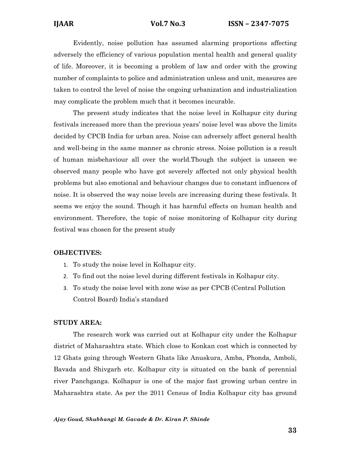Evidently, noise pollution has assumed alarming proportions affecting adversely the efficiency of various population mental health and general quality of life. Moreover, it is becoming a problem of law and order with the growing number of complaints to police and administration unless and unit, measures are taken to control the level of noise the ongoing urbanization and industrialization may complicate the problem much that it becomes incurable.

The present study indicates that the noise level in Kolhapur city during festivals increased more than the previous years' noise level was above the limits decided by CPCB India for urban area. Noise can adversely affect general health and well-being in the same manner as chronic stress. Noise pollution is a result of human misbehaviour all over the world.Though the subject is unseen we observed many people who have got severely affected not only physical health problems but also emotional and behaviour changes due to constant influences of noise. It is observed the way noise levels are increasing during these festivals. It seems we enjoy the sound. Though it has harmful effects on human health and environment. Therefore, the topic of noise monitoring of Kolhapur city during festival was chosen for the present study

### **OBJECTIVES:**

- 1. To study the noise level in Kolhapur city.
- 2. To find out the noise level during different festivals in Kolhapur city.
- 3. To study the noise level with zone wise as per CPCB (Central Pollution Control Board) India's standard

# **STUDY AREA:**

 The research work was carried out at Kolhapur city under the Kolhapur district of Maharashtra state. Which close to Konkan cost which is connected by 12 Ghats going through Western Ghats like Anuskura, Amba, Phonda, Amboli, Bavada and Shivgarh etc. Kolhapur city is situated on the bank of perennial river Panchganga. Kolhapur is one of the major fast growing urban centre in Maharashtra state. As per the 2011 Census of India Kolhapur city has ground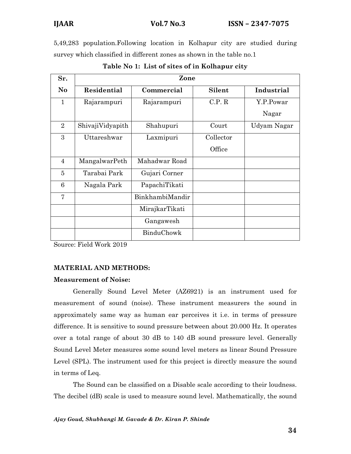5,49,283 population.Following location in Kolhapur city are studied during survey which classified in different zones as shown in the table no.1

| Sr.            | Zone             |                 |           |             |  |  |  |  |  |  |
|----------------|------------------|-----------------|-----------|-------------|--|--|--|--|--|--|
| N <sub>o</sub> | Residential      | Commercial      | Silent    | Industrial  |  |  |  |  |  |  |
| $\mathbf{1}$   | Rajarampuri      | Rajarampuri     | C.P. R    | Y.P.Powar   |  |  |  |  |  |  |
|                |                  |                 |           | Nagar       |  |  |  |  |  |  |
| $\overline{2}$ | ShivajiVidyapith | Shahupuri       | Court     | Udyam Nagar |  |  |  |  |  |  |
| 3              | Uttareshwar      | Laxmipuri       | Collector |             |  |  |  |  |  |  |
|                |                  |                 | Office    |             |  |  |  |  |  |  |
| $\overline{4}$ | MangalwarPeth    | Mahadwar Road   |           |             |  |  |  |  |  |  |
| $\overline{5}$ | Tarabai Park     | Gujari Corner   |           |             |  |  |  |  |  |  |
| 6              | Nagala Park      | PapachiTikati   |           |             |  |  |  |  |  |  |
| 7              |                  | BinkhambiMandir |           |             |  |  |  |  |  |  |
|                |                  | MirajkarTikati  |           |             |  |  |  |  |  |  |
|                |                  | Gangawesh       |           |             |  |  |  |  |  |  |
|                |                  | BinduChowk      |           |             |  |  |  |  |  |  |

**Table No 1: List of sites of in Kolhapur city** 

Source: Field Work 2019

# **MATERIAL AND METHODS:**

# **Measurement of Noise:**

Generally Sound Level Meter (AZ6921) is an instrument used for measurement of sound (noise). These instrument measurers the sound in approximately same way as human ear perceives it i.e. in terms of pressure difference. It is sensitive to sound pressure between about 20.000 Hz. It operates over a total range of about 30 dB to 140 dB sound pressure level. Generally Sound Level Meter measures some sound level meters as linear Sound Pressure Level (SPL). The instrument used for this project is directly measure the sound in terms of Leq.

The Sound can be classified on a Disable scale according to their loudness. The decibel (dB) scale is used to measure sound level. Mathematically, the sound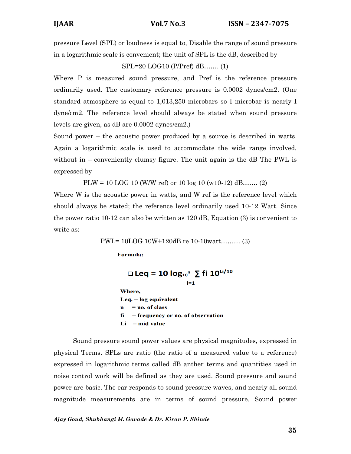pressure Level (SPL) or loudness is equal to, Disable the range of sound pressure in a logarithmic scale is convenient; the unit of SPL is the dB, described by

SPL=20 LOG10 (P/Pref) dB……. (1)

Where P is measured sound pressure, and Pref is the reference pressure ordinarily used. The customary reference pressure is 0.0002 dynes/cm2. (One standard atmosphere is equal to 1,013,250 microbars so I microbar is nearly I dyne/cm2. The reference level should always be stated when sound pressure levels are given, as dB are 0.0002 dynes/cm2.)

Sound power – the acoustic power produced by a source is described in watts. Again a logarithmic scale is used to accommodate the wide range involved, without in  $-$  conveniently clumsy figure. The unit again is the dB The PWL is expressed by

 $PLW = 10$  LOG 10 (W/W ref) or 10 log 10 (w10-12) dB……. (2)

Where W is the acoustic power in watts, and W ref is the reference level which should always be stated; the reference level ordinarily used 10-12 Watt. Since the power ratio 10-12 can also be written as 120 dB, Equation (3) is convenient to write as:

PWL= 10LOG 10W+120dB re 10-10watt……… (3)

**Formula:** 

```
□ Leq = 10 log_{10}<sup>n</sup> \sum fi 10<sup>Li/10</sup>
                              i = 1Where,
\text{Leg.} = \log equivalent
    = no. of class
\mathbf{n}fi
     = frequency or no. of observation
Li = mid value
```
Sound pressure sound power values are physical magnitudes, expressed in physical Terms. SPLs are ratio (the ratio of a measured value to a reference) expressed in logarithmic terms called dB anther terms and quantities used in noise control work will be defined as they are used. Sound pressure and sound power are basic. The ear responds to sound pressure waves, and nearly all sound magnitude measurements are in terms of sound pressure. Sound power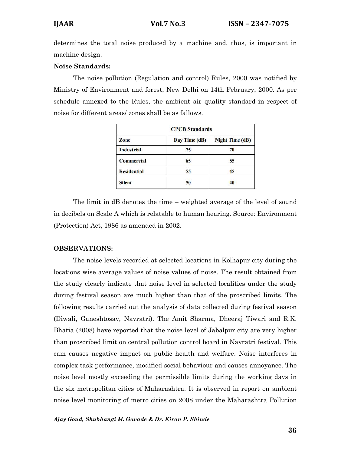determines the total noise produced by a machine and, thus, is important in machine design.

# **Noise Standards:**

The noise pollution (Regulation and control) Rules, 2000 was notified by Ministry of Environment and forest, New Delhi on 14th February, 2000. As per schedule annexed to the Rules, the ambient air quality standard in respect of noise for different areas/ zones shall be as fallows.

| <b>CPCB</b> Standards |               |                        |  |  |  |  |
|-----------------------|---------------|------------------------|--|--|--|--|
| Zone                  | Day Time (dB) | <b>Night Time (dB)</b> |  |  |  |  |
| <b>Industrial</b>     | 75            | 70                     |  |  |  |  |
| <b>Commercial</b>     | 65            | 55                     |  |  |  |  |
| <b>Residential</b>    | 55            | 45                     |  |  |  |  |
| <b>Silent</b>         | 50            | 40                     |  |  |  |  |

The limit in dB denotes the time – weighted average of the level of sound in decibels on Scale A which is relatable to human hearing. Source: Environment (Protection) Act, 1986 as amended in 2002.

# **OBSERVATIONS:**

The noise levels recorded at selected locations in Kolhapur city during the locations wise average values of noise values of noise. The result obtained from the study clearly indicate that noise level in selected localities under the study during festival season are much higher than that of the proscribed limits. The following results carried out the analysis of data collected during festival season (Diwali, Ganeshtosav, Navratri). The Amit Sharma, Dheeraj Tiwari and R.K. Bhatia (2008) have reported that the noise level of Jabalpur city are very higher than proscribed limit on central pollution control board in Navratri festival. This cam causes negative impact on public health and welfare. Noise interferes in complex task performance, modified social behaviour and causes annoyance. The noise level mostly exceeding the permissible limits during the working days in the six metropolitan cities of Maharashtra. It is observed in report on ambient noise level monitoring of metro cities on 2008 under the Maharashtra Pollution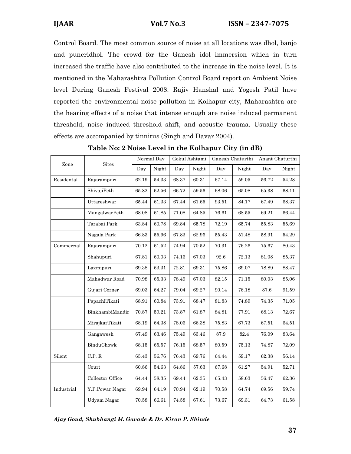Control Board. The most common source of noise at all locations was dhol, banjo and puneridhol. The crowd for the Ganesh idol immersion which in turn increased the traffic have also contributed to the increase in the noise level. It is mentioned in the Maharashtra Pollution Control Board report on Ambient Noise level During Ganesh Festival 2008. Rajiv Hanshal and Yogesh Patil have reported the environmental noise pollution in Kolhapur city, Maharashtra are the hearing effects of a noise that intense enough are noise induced permanent threshold, noise induced threshold shift, and acoustic trauma. Usually these effects are accompanied by tinnitus (Singh and Davar 2004).

| Zone       | <b>Sites</b>     | Normal Day |       | Gokul Ashtami |       | Ganesh Chaturthi |       | Anant Chaturthi |           |
|------------|------------------|------------|-------|---------------|-------|------------------|-------|-----------------|-----------|
|            |                  | Day        | Night | Day           | Night | Day              | Night | Day             | Night     |
| Residental | Rajarampuri      | 62.19      | 54.33 | 68.37         | 60.31 | 67.14            | 59.05 | 56.72           | 54.28     |
|            | ShivajiPeth      | 65.82      | 62.56 | 66.72         | 59.56 | 68.06            | 65.08 | 65.38           | 68.11     |
|            | Uttareshwar      | 65.44      | 61.33 | 67.44         | 61.65 | 93.51            | 84.17 | 67.49           | 68.37     |
|            | MangalwarPeth    | 68.08      | 61.85 | 71.08         | 64.85 | 76.61            | 68.55 | 69.21           | 66.44     |
|            | Tarabai Park     | 63.84      | 60.78 | 69.84         | 65.78 | 72.19            | 65.74 | 55.83           | 55.69     |
|            | Nagala Park      | 66.83      | 55.96 | 67.83         | 62.96 | 55.43            | 51.48 | 58.91           | 54.29     |
| Commercial | Rajarampuri      | 70.12      | 61.52 | 74.94         | 70.52 | 70.31            | 76.26 | 75.67           | 80.43     |
|            | Shahupuri        | 67.81      | 60.03 | 74.16         | 67.03 | 92.6             | 72.13 | 81.08           | 85.37     |
|            | Laxmipuri        | 69.38      | 63.31 | 72.81         | 69.31 | 75.86            | 69.07 | 78.89           | 88.47     |
|            | Mahadwar Road    | 70.98      | 65.33 | 78.49         | 67.03 | 82.15            | 71.15 | 80.03           | 85.06     |
|            | Gujari Corner    | 69.03      | 64.27 | 79.04         | 69.27 | 90.14            | 76.18 | 87.6            | 91.59     |
|            | PapachiTikati    | 68.91      | 60.84 | 73.91         | 68.47 | 81.83            | 74.89 | 74.35           | 71.05     |
|            | BinkhambiMandir  | 70.87      | 59.21 | 73.87         | 61.87 | 84.81            | 77.91 | 68.13           | 72.67     |
|            | MirajkarTikati   | 68.19      | 64.38 | 78.06         | 66.38 | 75.83            | 67.73 | 67.51           | 64.51     |
|            | Gangawesh        | 67.49      | 63.46 | 75.49         | 63.46 | 87.9             | 82.4  | 76.09           | 83.64     |
|            | BinduChowk       | 68.15      | 65.57 | 76.15         | 68.57 | 80.59            | 75.13 | 74.87           | 72.09     |
| Silent     | C.P. R           | 65.43      | 56.76 | 76.43         | 69.76 | 64.44            | 59.17 | 62.38           | 56.14     |
|            | Court            | 60.86      | 54.63 | 64.86         | 57.63 | 67.68            | 61.27 | 54.91           | 52.71     |
|            | Collector Office | 64.44      | 58.35 | 69.44         | 62.35 | 65.43            | 58.63 | 56.47           | 62.36     |
| Industrial | Y.P.Powar Nagar  | 69.94      | 64.19 | 70.94         | 62.19 | 70.58            | 64.74 | 69.56           | 59.74     |
|            | Udyam Nagar      | 70.58      | 66.61 | 74.58         | 67.61 | 73.67            | 69.31 | 64.73           | $61.58\,$ |

**Table No: 2 Noise Level in the Kolhapur City (in dB)**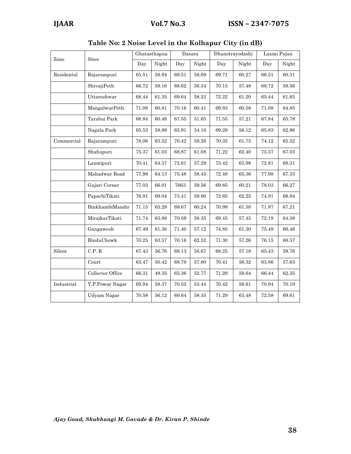|            | <b>Sites</b>     | Ghatasthapna |           | Dasara    |           | Dhanotrayodashi |           | Laxmi Pujan |              |
|------------|------------------|--------------|-----------|-----------|-----------|-----------------|-----------|-------------|--------------|
| Zone       |                  | Day          | Night     | Day       | Night     | Day             | Night     | Day         | Night        |
| Residental | Rajarampuri      | 65.51        | 59.94     | 69.51     | 58.69     | 69.71           | 60.27     | 66.51       | 60.31        |
|            | ShivajiPeth      | 66.72        | 59.16     | 68.62     | 56.34     | 70.15           | 57.48     | 68.72       | 59.56        |
|            | Uttareshwar      | 68.44        | 61.35     | 69.64     | 58.23     | 72.22           | 61.20     | 65.44       | 61.65        |
|            | MangalwarPeth    | 71.08        | 60.81     | 70.16     | 60.41     | 69.83           | 60.58     | 71.08       | 64.85        |
|            | Tarabai Park     | 66.84        | 60.48     | $67.55\,$ | 51.65     | 71.55           | 57.21     | 67.84       | 65.78        |
|            | Nagala Park      | 65.53        | 58.89     | 65.91     | 54.16     | 69.29           | 56.12     | 65.83       | 62.96        |
| Commercial | Rajarampuri      | 78.06        | 63.52     | 70.42     | 59.26     | 70.35           | $61.75\,$ | 74.12       | $\bf{65.52}$ |
|            | Shahupuri        | 75.37        | 61.03     | 68.87     | 61.08     | 71.22           | 62.40     | 75.37       | 67.03        |
|            | Laxmipuri        | 70.41        | 64.37     | 72.61     | 57.29     | 73.42           | 63.98     | 72.81       | $68.31\,$    |
|            | Mahadwar Road    | 77.98        | 64.13     | 75.48     | 58.45     | 72.48           | 65.36     | 77.98       | 67.33        |
|            | Gujari Corner    | 77.03        | 66.01     | 7663      | 59.56     | 69.85           | 60.21     | $78.03\,$   | 66.27        |
|            | PapachiTikati    | 76.91        | 69.04     | 73.41     | 59.80     | 72.65           | 62.25     | 74.91       | 68.84        |
|            | BinkhambiMandir  | 71.15        | 65.28     | 69.67     | 60.24     | 70.98           | 61.58     | 71.87       | $67.21\,$    |
|            | MirajkarTikati   | 71.74        | 63.88     | 70.59     | 58.35     | 69.45           | 57.45     | 72.19       | 64.38        |
|            | Gangawesh        | 67.49        | $61.36\,$ | $71.40\,$ | $57.12\,$ | 74.85           | 61.30     | 75.49       | 66.46        |
|            | BinduChowk       | 70.25        | 63.57     | 70.16     | 62.52     | 71.30           | $57.26\,$ | 76.15       | 68.57        |
| Silent     | C.P. R           | 67.43        | 56.76     | 69.13     | 58.67     | 68.25           | 57.18     | 65.43       | 59.76        |
|            | Court            | 63.47        | 50.42     | 68.79     | 57.80     | 70.41           | 56.32     | 63.86       | 57.63        |
|            | Collector Office | 66.31        | 49.35     | 65.36     | 52.77     | 71.29           | 59.64     | 66.44       | $62.35\,$    |
| Industrial | Y.P.Powar Nagar  | 69.94        | 58.37     | $70.52\,$ | 53.44     | 70.42           | 58.61     | 70.94       | 70.19        |
|            | Udyam Nagar      | 70.58        | 56.12     | 69.64     | $58.35\,$ | 71.29           | $63.48\,$ | 72.58       | 69.61        |

**Table No: 2 Noise Level in the Kolhapur City (in dB)**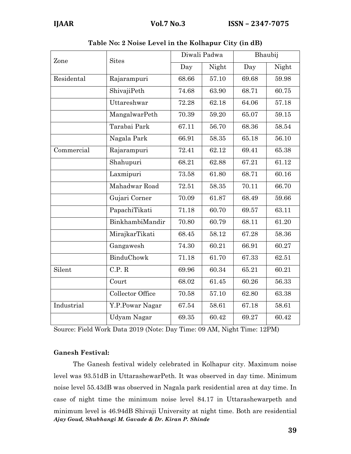| Zone       | <b>Sites</b>     |       | Diwali Padwa | Bhaubij |       |  |
|------------|------------------|-------|--------------|---------|-------|--|
|            |                  | Day   | Night        | Day     | Night |  |
| Residental | Rajarampuri      | 68.66 | 57.10        | 69.68   | 59.98 |  |
|            | ShivajiPeth      | 74.68 | 63.90        | 68.71   | 60.75 |  |
|            | Uttareshwar      | 72.28 | 62.18        | 64.06   | 57.18 |  |
|            | MangalwarPeth    | 70.39 | 59.20        | 65.07   | 59.15 |  |
|            | Tarabai Park     | 67.11 | 56.70        | 68.36   | 58.54 |  |
|            | Nagala Park      | 66.91 | 58.35        | 65.18   | 56.10 |  |
| Commercial | Rajarampuri      | 72.41 | 62.12        | 69.41   | 65.38 |  |
|            | Shahupuri        | 68.21 | 62.88        | 67.21   | 61.12 |  |
|            | Laxmipuri        | 73.58 | 61.80        | 68.71   | 60.16 |  |
|            | Mahadwar Road    | 72.51 | 58.35        | 70.11   | 66.70 |  |
|            | Gujari Corner    | 70.09 | 61.87        | 68.49   | 59.66 |  |
|            | PapachiTikati    | 71.18 | 60.70        | 69.57   | 63.11 |  |
|            | BinkhambiMandir  | 70.80 | 60.79        | 68.11   | 61.20 |  |
|            | MirajkarTikati   | 68.45 | 58.12        | 67.28   | 58.36 |  |
|            | Gangawesh        | 74.30 | 60.21        | 66.91   | 60.27 |  |
|            | BinduChowk       | 71.18 | 61.70        | 67.33   | 62.51 |  |
| Silent     | C.P. R           | 69.96 | 60.34        | 65.21   | 60.21 |  |
|            | Court            | 68.02 | 61.45        | 60.26   | 56.33 |  |
|            | Collector Office | 70.58 | 57.10        | 62.80   | 63.38 |  |
| Industrial | Y.P.Powar Nagar  | 67.54 | 58.61        | 67.18   | 58.61 |  |
|            | Udyam Nagar      | 69.35 | 60.42        | 69.27   | 60.42 |  |

|  |  | Table No: 2 Noise Level in the Kolhapur City (in dB) |  |
|--|--|------------------------------------------------------|--|
|  |  |                                                      |  |

Source: Field Work Data 2019 (Note: Day Time: 09 AM, Night Time: 12PM)

# **Ganesh Festival:**

*Ajay Goud, Shubhangi M. Gavade & Dr. Kiran P. Shinde*  The Ganesh festival widely celebrated in Kolhapur city. Maximum noise level was 93.51dB in UttarashewarPeth. It was observed in day time. Minimum noise level 55.43dB was observed in Nagala park residential area at day time. In case of night time the minimum noise level 84.17 in Uttarashewarpeth and minimum level is 46.94dB Shivaji University at night time. Both are residential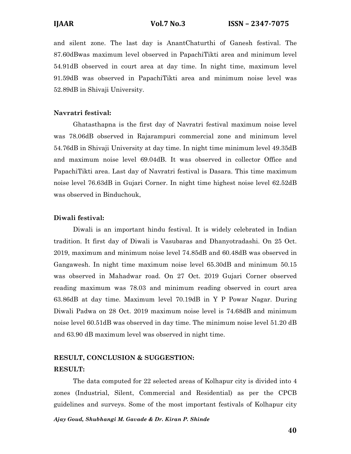and silent zone. The last day is AnantChaturthi of Ganesh festival. The 87.60dBwas maximum level observed in PapachiTikti area and minimum level 54.91dB observed in court area at day time. In night time, maximum level 91.59dB was observed in PapachiTikti area and minimum noise level was 52.89dB in Shivaji University.

# **Navratri festival:**

Ghatasthapna is the first day of Navratri festival maximum noise level was 78.06dB observed in Rajarampuri commercial zone and minimum level 54.76dB in Shivaji University at day time. In night time minimum level 49.35dB and maximum noise level 69.04dB. It was observed in collector Office and PapachiTikti area. Last day of Navratri festival is Dasara. This time maximum noise level 76.63dB in Gujari Corner. In night time highest noise level 62.52dB was observed in Binduchouk,

# **Diwali festival:**

Diwali is an important hindu festival. It is widely celebrated in Indian tradition. It first day of Diwali is Vasubaras and Dhanyotradashi. On 25 Oct. 2019, maximum and minimum noise level 74.85dB and 60.48dB was observed in Gangawesh. In night time maximum noise level 65.30dB and minimum 50.15 was observed in Mahadwar road. On 27 Oct. 2019 Gujari Corner observed reading maximum was 78.03 and minimum reading observed in court area 63.86dB at day time. Maximum level 70.19dB in Y P Powar Nagar. During Diwali Padwa on 28 Oct. 2019 maximum noise level is 74.68dB and minimum noise level 60.51dB was observed in day time. The minimum noise level 51.20 dB and 63.90 dB maximum level was observed in night time.

# **RESULT, CONCLUSION & SUGGESTION: RESULT:**

 The data computed for 22 selected areas of Kolhapur city is divided into 4 zones (Industrial, Silent, Commercial and Residential) as per the CPCB guidelines and surveys. Some of the most important festivals of Kolhapur city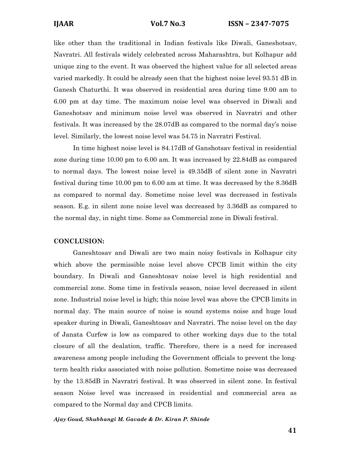like other than the traditional in Indian festivals like Diwali, Ganeshotsav, Navratri. All festivals widely celebrated across Maharashtra, but Kolhapur add unique zing to the event. It was observed the highest value for all selected areas varied markedly. It could be already seen that the highest noise level 93.51 dB in Ganesh Chaturthi. It was observed in residential area during time 9.00 am to 6.00 pm at day time. The maximum noise level was observed in Diwali and Ganeshotsav and minimum noise level was observed in Navratri and other festivals. It was increased by the 28.07dB as compared to the normal day's noise level. Similarly, the lowest noise level was 54.75 in Navratri Festival.

In time highest noise level is 84.17dB of Ganshotsav festival in residential zone during time 10.00 pm to 6.00 am. It was increased by 22.84dB as compared to normal days. The lowest noise level is 49.35dB of silent zone in Navratri festival during time 10.00 pm to 6.00 am at time. It was decreased by the 8.36dB as compared to normal day. Sometime noise level was decreased in festivals season. E.g. in silent zone noise level was decreased by 3.36dB as compared to the normal day, in night time. Some as Commercial zone in Diwali festival.

### **CONCLUSION:**

Ganeshtosav and Diwali are two main noisy festivals in Kolhapur city which above the permissible noise level above CPCB limit within the city boundary. In Diwali and Ganeshtosav noise level is high residential and commercial zone. Some time in festivals season, noise level decreased in silent zone. Industrial noise level is high; this noise level was above the CPCB limits in normal day. The main source of noise is sound systems noise and huge loud speaker during in Diwali, Ganeshtosav and Navratri. The noise level on the day of Janata Curfew is low as compared to other working days due to the total closure of all the dealation, traffic. Therefore, there is a need for increased awareness among people including the Government officials to prevent the longterm health risks associated with noise pollution. Sometime noise was decreased by the 13.85dB in Navratri festival. It was observed in silent zone. In festival season Noise level was increased in residential and commercial area as compared to the Normal day and CPCB limits.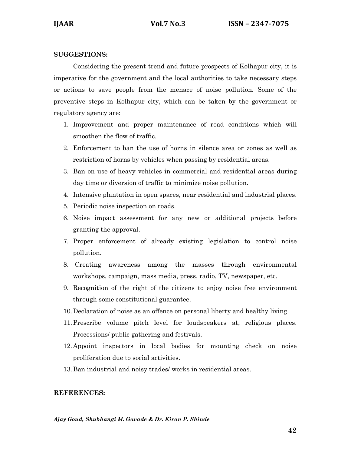# **SUGGESTIONS:**

 Considering the present trend and future prospects of Kolhapur city, it is imperative for the government and the local authorities to take necessary steps or actions to save people from the menace of noise pollution. Some of the preventive steps in Kolhapur city, which can be taken by the government or regulatory agency are:

- 1. Improvement and proper maintenance of road conditions which will smoothen the flow of traffic.
- 2. Enforcement to ban the use of horns in silence area or zones as well as restriction of horns by vehicles when passing by residential areas.
- 3. Ban on use of heavy vehicles in commercial and residential areas during day time or diversion of traffic to minimize noise pollution.
- 4. Intensive plantation in open spaces, near residential and industrial places.
- 5. Periodic noise inspection on roads.
- 6. Noise impact assessment for any new or additional projects before granting the approval.
- 7. Proper enforcement of already existing legislation to control noise pollution.
- 8. Creating awareness among the masses through environmental workshops, campaign, mass media, press, radio, TV, newspaper, etc.
- 9. Recognition of the right of the citizens to enjoy noise free environment through some constitutional guarantee.
- 10.Declaration of noise as an offence on personal liberty and healthy living.
- 11.Prescribe volume pitch level for loudspeakers at; religious places. Processions/ public gathering and festivals.
- 12.Appoint inspectors in local bodies for mounting check on noise proliferation due to social activities.
- 13.Ban industrial and noisy trades/ works in residential areas.

# **REFERENCES:**